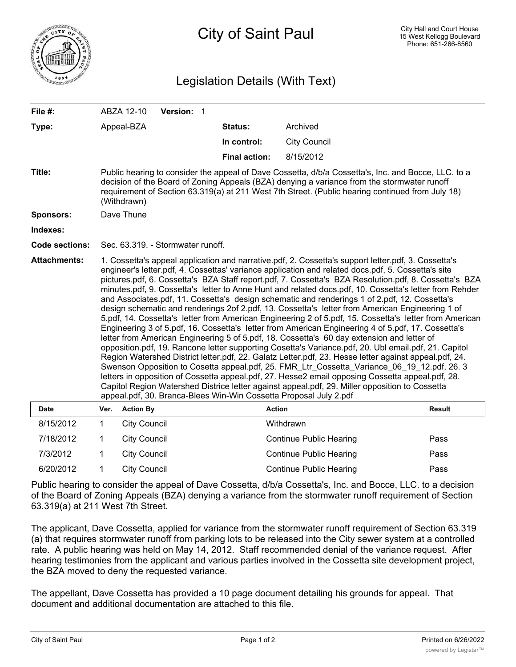

## Legislation Details (With Text)

| File $#$ :            |                                                                                                                                                                                                                                                                                                                                                                                                                                                                                                                                                                                                                                                                                                                                                                                                                                                                                                                                                                                                                                                                                                                                                                                                                                                                                                                                                                                                                                                                                                                                           | ABZA 12-10          | Version: 1 |                      |                                |               |
|-----------------------|-------------------------------------------------------------------------------------------------------------------------------------------------------------------------------------------------------------------------------------------------------------------------------------------------------------------------------------------------------------------------------------------------------------------------------------------------------------------------------------------------------------------------------------------------------------------------------------------------------------------------------------------------------------------------------------------------------------------------------------------------------------------------------------------------------------------------------------------------------------------------------------------------------------------------------------------------------------------------------------------------------------------------------------------------------------------------------------------------------------------------------------------------------------------------------------------------------------------------------------------------------------------------------------------------------------------------------------------------------------------------------------------------------------------------------------------------------------------------------------------------------------------------------------------|---------------------|------------|----------------------|--------------------------------|---------------|
| Type:                 |                                                                                                                                                                                                                                                                                                                                                                                                                                                                                                                                                                                                                                                                                                                                                                                                                                                                                                                                                                                                                                                                                                                                                                                                                                                                                                                                                                                                                                                                                                                                           | Appeal-BZA          |            | Status:              | Archived                       |               |
|                       |                                                                                                                                                                                                                                                                                                                                                                                                                                                                                                                                                                                                                                                                                                                                                                                                                                                                                                                                                                                                                                                                                                                                                                                                                                                                                                                                                                                                                                                                                                                                           |                     |            | In control:          | <b>City Council</b>            |               |
|                       |                                                                                                                                                                                                                                                                                                                                                                                                                                                                                                                                                                                                                                                                                                                                                                                                                                                                                                                                                                                                                                                                                                                                                                                                                                                                                                                                                                                                                                                                                                                                           |                     |            | <b>Final action:</b> | 8/15/2012                      |               |
| Title:                | Public hearing to consider the appeal of Dave Cossetta, d/b/a Cossetta's, Inc. and Bocce, LLC. to a<br>decision of the Board of Zoning Appeals (BZA) denying a variance from the stormwater runoff<br>requirement of Section 63.319(a) at 211 West 7th Street. (Public hearing continued from July 18)<br>(Withdrawn)                                                                                                                                                                                                                                                                                                                                                                                                                                                                                                                                                                                                                                                                                                                                                                                                                                                                                                                                                                                                                                                                                                                                                                                                                     |                     |            |                      |                                |               |
| <b>Sponsors:</b>      | Dave Thune                                                                                                                                                                                                                                                                                                                                                                                                                                                                                                                                                                                                                                                                                                                                                                                                                                                                                                                                                                                                                                                                                                                                                                                                                                                                                                                                                                                                                                                                                                                                |                     |            |                      |                                |               |
| Indexes:              |                                                                                                                                                                                                                                                                                                                                                                                                                                                                                                                                                                                                                                                                                                                                                                                                                                                                                                                                                                                                                                                                                                                                                                                                                                                                                                                                                                                                                                                                                                                                           |                     |            |                      |                                |               |
| <b>Code sections:</b> | Sec. 63.319. - Stormwater runoff.                                                                                                                                                                                                                                                                                                                                                                                                                                                                                                                                                                                                                                                                                                                                                                                                                                                                                                                                                                                                                                                                                                                                                                                                                                                                                                                                                                                                                                                                                                         |                     |            |                      |                                |               |
| <b>Attachments:</b>   | 1. Cossetta's appeal application and narrative.pdf, 2. Cossetta's support letter.pdf, 3. Cossetta's<br>engineer's letter.pdf, 4. Cossettas' variance application and related docs.pdf, 5. Cossetta's site<br>pictures.pdf, 6. Cossetta's BZA Staff report.pdf, 7. Cossetta's BZA Resolution.pdf, 8. Cossetta's BZA<br>minutes.pdf, 9. Cossetta's letter to Anne Hunt and related docs.pdf, 10. Cossetta's letter from Rehder<br>and Associates.pdf, 11. Cossetta's design schematic and renderings 1 of 2.pdf, 12. Cossetta's<br>design schematic and renderings 2of 2.pdf, 13. Cossetta's letter from American Engineering 1 of<br>5.pdf, 14. Cossetta's letter from American Engineering 2 of 5.pdf, 15. Cossetta's letter from American<br>Engineering 3 of 5.pdf, 16. Cossetta's letter from American Engineering 4 of 5.pdf, 17. Cossetta's<br>letter from American Engineering 5 of 5.pdf, 18. Cossetta's 60 day extension and letter of<br>opposition.pdf, 19. Rancone letter supporting Cosetta's Variance.pdf, 20. Ubl email.pdf, 21. Capitol<br>Region Watershed District letter.pdf, 22. Galatz Letter.pdf, 23. Hesse letter against appeal.pdf, 24.<br>Swenson Opposition to Cosetta appeal.pdf, 25. FMR_Ltr_Cossetta_Variance_06_19_12.pdf, 26. 3<br>letters in opposition of Cossetta appeal.pdf, 27. Hesse2 email opposing Cossetta appeal.pdf, 28.<br>Capitol Region Watershed Districe letter against appeal.pdf, 29. Miller opposition to Cossetta<br>appeal.pdf, 30. Branca-Blees Win-Win Cossetta Proposal July 2.pdf |                     |            |                      |                                |               |
| <b>Date</b>           |                                                                                                                                                                                                                                                                                                                                                                                                                                                                                                                                                                                                                                                                                                                                                                                                                                                                                                                                                                                                                                                                                                                                                                                                                                                                                                                                                                                                                                                                                                                                           | Ver. Action By      |            |                      | <b>Action</b>                  | <b>Result</b> |
| 8/15/2012             | $\mathbf 1$                                                                                                                                                                                                                                                                                                                                                                                                                                                                                                                                                                                                                                                                                                                                                                                                                                                                                                                                                                                                                                                                                                                                                                                                                                                                                                                                                                                                                                                                                                                               | <b>City Council</b> |            |                      | Withdrawn                      |               |
| 7/18/2012             | 1                                                                                                                                                                                                                                                                                                                                                                                                                                                                                                                                                                                                                                                                                                                                                                                                                                                                                                                                                                                                                                                                                                                                                                                                                                                                                                                                                                                                                                                                                                                                         | <b>City Council</b> |            |                      | <b>Continue Public Hearing</b> | Pass          |

Public hearing to consider the appeal of Dave Cossetta, d/b/a Cossetta's, Inc. and Bocce, LLC. to a decision of the Board of Zoning Appeals (BZA) denying a variance from the stormwater runoff requirement of Section 63.319(a) at 211 West 7th Street.

7/3/2012 1 City Council Continue Public Hearing Pass 6/20/2012 1 City Council Continue Public Hearing Pass

The applicant, Dave Cossetta, applied for variance from the stormwater runoff requirement of Section 63.319 (a) that requires stormwater runoff from parking lots to be released into the City sewer system at a controlled rate. A public hearing was held on May 14, 2012. Staff recommended denial of the variance request. After hearing testimonies from the applicant and various parties involved in the Cossetta site development project, the BZA moved to deny the requested variance.

The appellant, Dave Cossetta has provided a 10 page document detailing his grounds for appeal. That document and additional documentation are attached to this file.